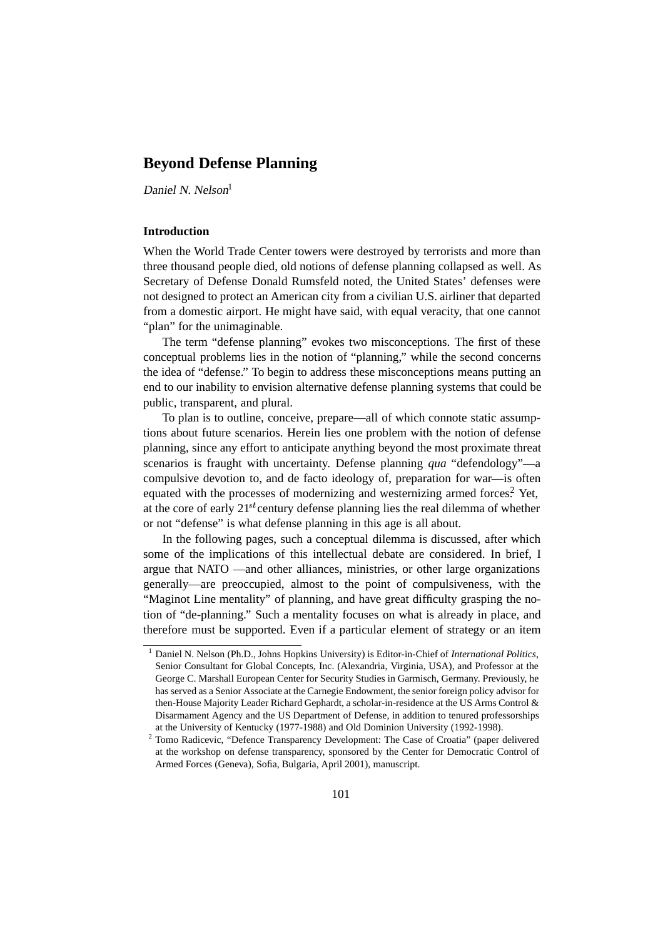# **Beyond Defense Planning**

Daniel N. Nelson<sup>1</sup>

#### **Introduction**

When the World Trade Center towers were destroyed by terrorists and more than three thousand people died, old notions of defense planning collapsed as well. As Secretary of Defense Donald Rumsfeld noted, the United States' defenses were not designed to protect an American city from a civilian U.S. airliner that departed from a domestic airport. He might have said, with equal veracity, that one cannot "plan" for the unimaginable.

The term "defense planning" evokes two misconceptions. The first of these conceptual problems lies in the notion of "planning," while the second concerns the idea of "defense." To begin to address these misconceptions means putting an end to our inability to envision alternative defense planning systems that could be public, transparent, and plural.

To plan is to outline, conceive, prepare—all of which connote static assumptions about future scenarios. Herein lies one problem with the notion of defense planning, since any effort to anticipate anything beyond the most proximate threat scenarios is fraught with uncertainty. Defense planning *qua* "defendology"—a compulsive devotion to, and de facto ideology of, preparation for war—is often equated with the processes of modernizing and westernizing armed forces.<sup>2</sup> Yet, at the core of early  $21^{st}$  century defense planning lies the real dilemma of whether or not "defense" is what defense planning in this age is all about.

In the following pages, such a conceptual dilemma is discussed, after which some of the implications of this intellectual debate are considered. In brief, I argue that NATO —and other alliances, ministries, or other large organizations generally—are preoccupied, almost to the point of compulsiveness, with the "Maginot Line mentality" of planning, and have great difficulty grasping the notion of "de-planning." Such a mentality focuses on what is already in place, and therefore must be supported. Even if a particular element of strategy or an item

<sup>1</sup> Daniel N. Nelson (Ph.D., Johns Hopkins University) is Editor-in-Chief of *International Politics*, Senior Consultant for Global Concepts, Inc. (Alexandria, Virginia, USA), and Professor at the George C. Marshall European Center for Security Studies in Garmisch, Germany. Previously, he has served as a Senior Associate at the Carnegie Endowment, the senior foreign policy advisor for then-House Majority Leader Richard Gephardt, a scholar-in-residence at the US Arms Control & Disarmament Agency and the US Department of Defense, in addition to tenured professorships at the University of Kentucky (1977-1988) and Old Dominion University (1992-1998).

<sup>2</sup> Tomo Radicevic, "Defence Transparency Development: The Case of Croatia" (paper delivered at the workshop on defense transparency, sponsored by the Center for Democratic Control of Armed Forces (Geneva), Sofia, Bulgaria, April 2001), manuscript.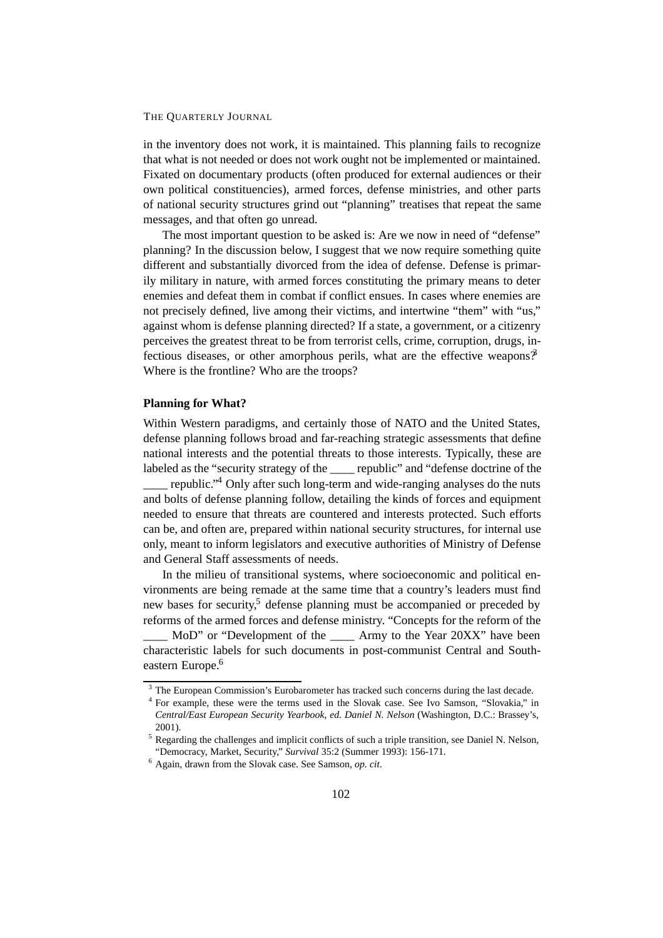in the inventory does not work, it is maintained. This planning fails to recognize that what is not needed or does not work ought not be implemented or maintained. Fixated on documentary products (often produced for external audiences or their own political constituencies), armed forces, defense ministries, and other parts of national security structures grind out "planning" treatises that repeat the same messages, and that often go unread.

The most important question to be asked is: Are we now in need of "defense" planning? In the discussion below, I suggest that we now require something quite different and substantially divorced from the idea of defense. Defense is primarily military in nature, with armed forces constituting the primary means to deter enemies and defeat them in combat if conflict ensues. In cases where enemies are not precisely defined, live among their victims, and intertwine "them" with "us," against whom is defense planning directed? If a state, a government, or a citizenry perceives the greatest threat to be from terrorist cells, crime, corruption, drugs, infectious diseases, or other amorphous perils, what are the effective weapons? Where is the frontline? Who are the troops?

#### **Planning for What?**

Within Western paradigms, and certainly those of NATO and the United States, defense planning follows broad and far-reaching strategic assessments that define national interests and the potential threats to those interests. Typically, these are labeled as the "security strategy of the \_\_\_\_ republic" and "defense doctrine of the

republic."<sup>4</sup> Only after such long-term and wide-ranging analyses do the nuts and bolts of defense planning follow, detailing the kinds of forces and equipment needed to ensure that threats are countered and interests protected. Such efforts can be, and often are, prepared within national security structures, for internal use only, meant to inform legislators and executive authorities of Ministry of Defense and General Staff assessments of needs.

In the milieu of transitional systems, where socioeconomic and political environments are being remade at the same time that a country's leaders must find new bases for security,<sup>5</sup> defense planning must be accompanied or preceded by reforms of the armed forces and defense ministry. "Concepts for the reform of the

MoD" or "Development of the Army to the Year 20XX" have been characteristic labels for such documents in post-communist Central and Southeastern Europe.<sup>6</sup>

<sup>&</sup>lt;sup>3</sup> The European Commission's Eurobarometer has tracked such concerns during the last decade.

<sup>4</sup> For example, these were the terms used in the Slovak case. See Ivo Samson, "Slovakia," in *Central/East European Security Yearbook*, *ed. Daniel N. Nelson* (Washington, D.C.: Brassey's, 2001).

<sup>&</sup>lt;sup>5</sup> Regarding the challenges and implicit conflicts of such a triple transition, see Daniel N. Nelson, "Democracy, Market, Security," *Survival* 35:2 (Summer 1993): 156-171.

<sup>6</sup> Again, drawn from the Slovak case. See Samson, *op. cit*.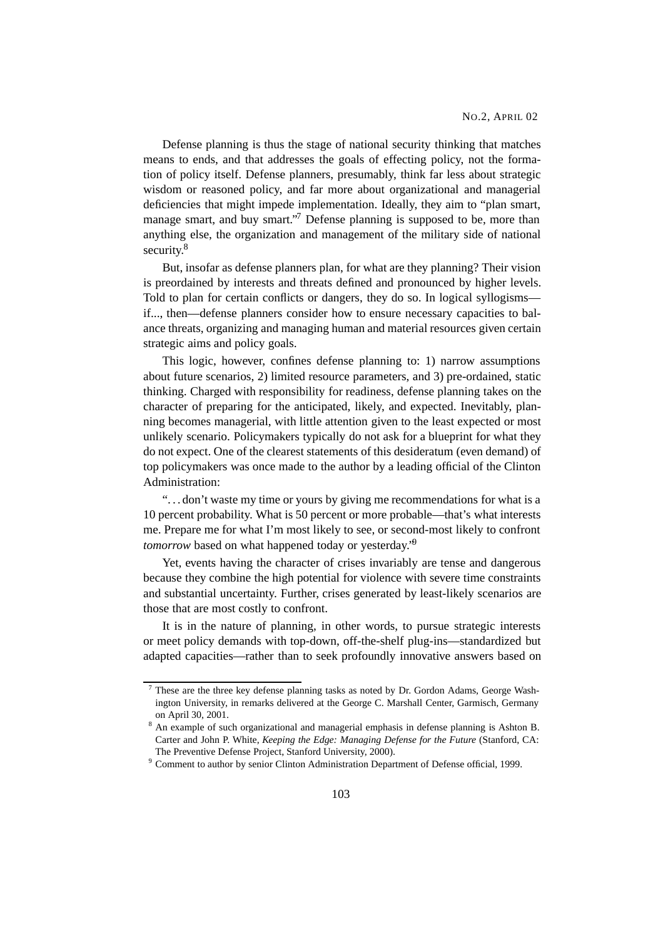Defense planning is thus the stage of national security thinking that matches means to ends, and that addresses the goals of effecting policy, not the formation of policy itself. Defense planners, presumably, think far less about strategic wisdom or reasoned policy, and far more about organizational and managerial deficiencies that might impede implementation. Ideally, they aim to "plan smart, manage smart, and buy smart."<sup>7</sup> Defense planning is supposed to be, more than anything else, the organization and management of the military side of national security.<sup>8</sup>

But, insofar as defense planners plan, for what are they planning? Their vision is preordained by interests and threats defined and pronounced by higher levels. Told to plan for certain conflicts or dangers, they do so. In logical syllogisms if..., then—defense planners consider how to ensure necessary capacities to balance threats, organizing and managing human and material resources given certain strategic aims and policy goals.

This logic, however, confines defense planning to: 1) narrow assumptions about future scenarios, 2) limited resource parameters, and 3) pre-ordained, static thinking. Charged with responsibility for readiness, defense planning takes on the character of preparing for the anticipated, likely, and expected. Inevitably, planning becomes managerial, with little attention given to the least expected or most unlikely scenario. Policymakers typically do not ask for a blueprint for what they do not expect. One of the clearest statements of this desideratum (even demand) of top policymakers was once made to the author by a leading official of the Clinton Administration:

"... don't waste my time or yours by giving me recommendations for what is a 10 percent probability. What is 50 percent or more probable—that's what interests me. Prepare me for what I'm most likely to see, or second-most likely to confront *tomorrow* based on what happened today or yesterday.<sup>'9</sup>

Yet, events having the character of crises invariably are tense and dangerous because they combine the high potential for violence with severe time constraints and substantial uncertainty. Further, crises generated by least-likely scenarios are those that are most costly to confront.

It is in the nature of planning, in other words, to pursue strategic interests or meet policy demands with top-down, off-the-shelf plug-ins—standardized but adapted capacities—rather than to seek profoundly innovative answers based on

<sup>7</sup> These are the three key defense planning tasks as noted by Dr. Gordon Adams, George Washington University, in remarks delivered at the George C. Marshall Center, Garmisch, Germany on April 30, 2001.

<sup>&</sup>lt;sup>8</sup> An example of such organizational and managerial emphasis in defense planning is Ashton B. Carter and John P. White, *Keeping the Edge: Managing Defense for the Future* (Stanford, CA: The Preventive Defense Project, Stanford University, 2000).

<sup>9</sup> Comment to author by senior Clinton Administration Department of Defense official, 1999.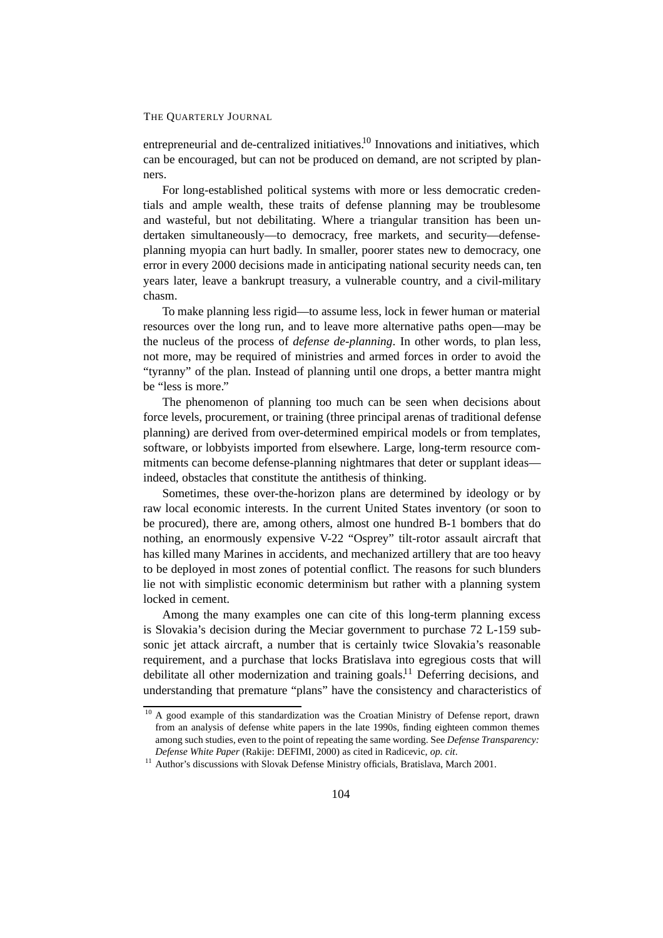entrepreneurial and de-centralized initiatives.<sup>10</sup> Innovations and initiatives, which can be encouraged, but can not be produced on demand, are not scripted by planners.

For long-established political systems with more or less democratic credentials and ample wealth, these traits of defense planning may be troublesome and wasteful, but not debilitating. Where a triangular transition has been undertaken simultaneously—to democracy, free markets, and security—defenseplanning myopia can hurt badly. In smaller, poorer states new to democracy, one error in every 2000 decisions made in anticipating national security needs can, ten years later, leave a bankrupt treasury, a vulnerable country, and a civil-military chasm.

To make planning less rigid—to assume less, lock in fewer human or material resources over the long run, and to leave more alternative paths open—may be the nucleus of the process of *defense de-planning*. In other words, to plan less, not more, may be required of ministries and armed forces in order to avoid the "tyranny" of the plan. Instead of planning until one drops, a better mantra might be "less is more."

The phenomenon of planning too much can be seen when decisions about force levels, procurement, or training (three principal arenas of traditional defense planning) are derived from over-determined empirical models or from templates, software, or lobbyists imported from elsewhere. Large, long-term resource commitments can become defense-planning nightmares that deter or supplant ideas indeed, obstacles that constitute the antithesis of thinking.

Sometimes, these over-the-horizon plans are determined by ideology or by raw local economic interests. In the current United States inventory (or soon to be procured), there are, among others, almost one hundred B-1 bombers that do nothing, an enormously expensive V-22 "Osprey" tilt-rotor assault aircraft that has killed many Marines in accidents, and mechanized artillery that are too heavy to be deployed in most zones of potential conflict. The reasons for such blunders lie not with simplistic economic determinism but rather with a planning system locked in cement.

Among the many examples one can cite of this long-term planning excess is Slovakia's decision during the Meciar government to purchase 72 L-159 subsonic jet attack aircraft, a number that is certainly twice Slovakia's reasonable requirement, and a purchase that locks Bratislava into egregious costs that will debilitate all other modernization and training goals.<sup>11</sup> Deferring decisions, and understanding that premature "plans" have the consistency and characteristics of

<sup>&</sup>lt;sup>10</sup> A good example of this standardization was the Croatian Ministry of Defense report, drawn from an analysis of defense white papers in the late 1990s, finding eighteen common themes among such studies, even to the point of repeating the same wording. See *Defense Transparency: Defense White Paper* (Rakije: DEFIMI, 2000) as cited in Radicevic, *op. cit*.

<sup>&</sup>lt;sup>11</sup> Author's discussions with Slovak Defense Ministry officials, Bratislava, March 2001.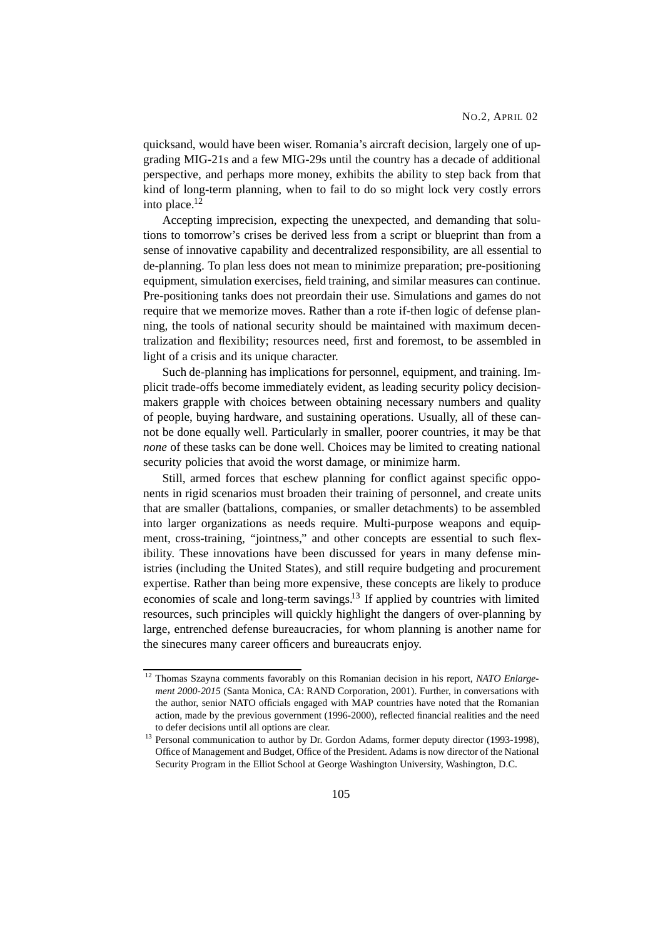quicksand, would have been wiser. Romania's aircraft decision, largely one of upgrading MIG-21s and a few MIG-29s until the country has a decade of additional perspective, and perhaps more money, exhibits the ability to step back from that kind of long-term planning, when to fail to do so might lock very costly errors into place.12

Accepting imprecision, expecting the unexpected, and demanding that solutions to tomorrow's crises be derived less from a script or blueprint than from a sense of innovative capability and decentralized responsibility, are all essential to de-planning. To plan less does not mean to minimize preparation; pre-positioning equipment, simulation exercises, field training, and similar measures can continue. Pre-positioning tanks does not preordain their use. Simulations and games do not require that we memorize moves. Rather than a rote if-then logic of defense planning, the tools of national security should be maintained with maximum decentralization and flexibility; resources need, first and foremost, to be assembled in light of a crisis and its unique character.

Such de-planning has implications for personnel, equipment, and training. Implicit trade-offs become immediately evident, as leading security policy decisionmakers grapple with choices between obtaining necessary numbers and quality of people, buying hardware, and sustaining operations. Usually, all of these cannot be done equally well. Particularly in smaller, poorer countries, it may be that *none* of these tasks can be done well. Choices may be limited to creating national security policies that avoid the worst damage, or minimize harm.

Still, armed forces that eschew planning for conflict against specific opponents in rigid scenarios must broaden their training of personnel, and create units that are smaller (battalions, companies, or smaller detachments) to be assembled into larger organizations as needs require. Multi-purpose weapons and equipment, cross-training, "jointness," and other concepts are essential to such flexibility. These innovations have been discussed for years in many defense ministries (including the United States), and still require budgeting and procurement expertise. Rather than being more expensive, these concepts are likely to produce economies of scale and long-term savings.13 If applied by countries with limited resources, such principles will quickly highlight the dangers of over-planning by large, entrenched defense bureaucracies, for whom planning is another name for the sinecures many career officers and bureaucrats enjoy.

<sup>12</sup> Thomas Szayna comments favorably on this Romanian decision in his report, *NATO Enlargement 2000-2015* (Santa Monica, CA: RAND Corporation, 2001). Further, in conversations with the author, senior NATO officials engaged with MAP countries have noted that the Romanian action, made by the previous government (1996-2000), reflected financial realities and the need to defer decisions until all options are clear.

<sup>&</sup>lt;sup>13</sup> Personal communication to author by Dr. Gordon Adams, former deputy director (1993-1998), Office of Management and Budget, Office of the President. Adams is now director of the National Security Program in the Elliot School at George Washington University, Washington, D.C.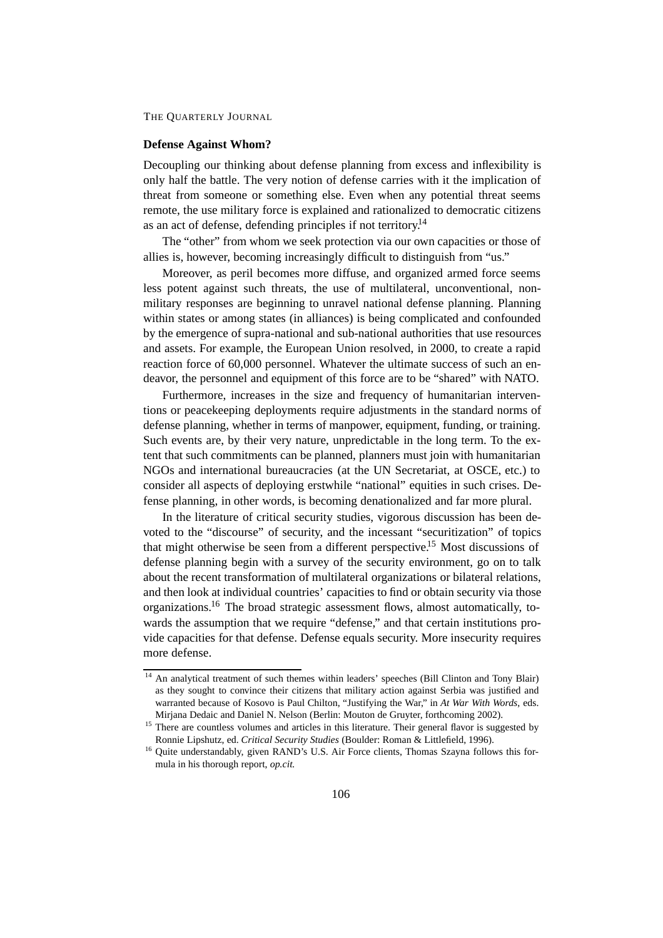#### **Defense Against Whom?**

Decoupling our thinking about defense planning from excess and inflexibility is only half the battle. The very notion of defense carries with it the implication of threat from someone or something else. Even when any potential threat seems remote, the use military force is explained and rationalized to democratic citizens as an act of defense, defending principles if not territory.<sup>14</sup>

The "other" from whom we seek protection via our own capacities or those of allies is, however, becoming increasingly difficult to distinguish from "us."

Moreover, as peril becomes more diffuse, and organized armed force seems less potent against such threats, the use of multilateral, unconventional, nonmilitary responses are beginning to unravel national defense planning. Planning within states or among states (in alliances) is being complicated and confounded by the emergence of supra-national and sub-national authorities that use resources and assets. For example, the European Union resolved, in 2000, to create a rapid reaction force of 60,000 personnel. Whatever the ultimate success of such an endeavor, the personnel and equipment of this force are to be "shared" with NATO.

Furthermore, increases in the size and frequency of humanitarian interventions or peacekeeping deployments require adjustments in the standard norms of defense planning, whether in terms of manpower, equipment, funding, or training. Such events are, by their very nature, unpredictable in the long term. To the extent that such commitments can be planned, planners must join with humanitarian NGOs and international bureaucracies (at the UN Secretariat, at OSCE, etc.) to consider all aspects of deploying erstwhile "national" equities in such crises. Defense planning, in other words, is becoming denationalized and far more plural.

In the literature of critical security studies, vigorous discussion has been devoted to the "discourse" of security, and the incessant "securitization" of topics that might otherwise be seen from a different perspective.15 Most discussions of defense planning begin with a survey of the security environment, go on to talk about the recent transformation of multilateral organizations or bilateral relations, and then look at individual countries' capacities to find or obtain security via those organizations.16 The broad strategic assessment flows, almost automatically, towards the assumption that we require "defense," and that certain institutions provide capacities for that defense. Defense equals security. More insecurity requires more defense.

<sup>&</sup>lt;sup>14</sup> An analytical treatment of such themes within leaders' speeches (Bill Clinton and Tony Blair) as they sought to convince their citizens that military action against Serbia was justified and warranted because of Kosovo is Paul Chilton, "Justifying the War," in *At War With Words*, eds. Mirjana Dedaic and Daniel N. Nelson (Berlin: Mouton de Gruyter, forthcoming 2002).

<sup>&</sup>lt;sup>15</sup> There are countless volumes and articles in this literature. Their general flavor is suggested by Ronnie Lipshutz, ed. *Critical Security Studies* (Boulder: Roman & Littlefield, 1996).

<sup>&</sup>lt;sup>16</sup> Quite understandably, given RAND's U.S. Air Force clients, Thomas Szayna follows this formula in his thorough report, *op.cit.*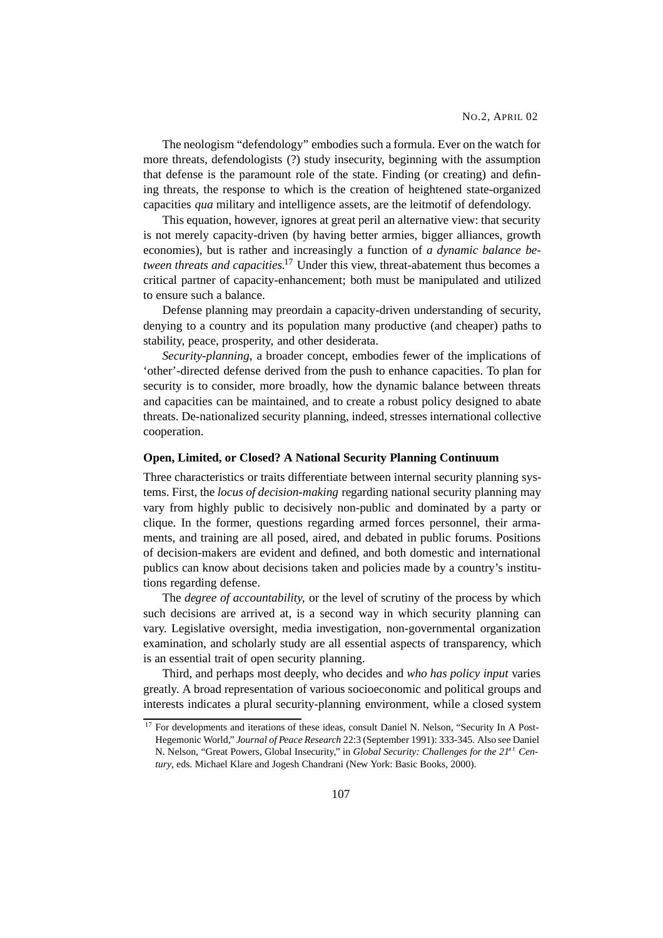The neologism "defendology" embodies such a formula. Ever on the watch for more threats, defendologists (?) study insecurity, beginning with the assumption that defense is the paramount role of the state. Finding (or creating) and defining threats, the response to which is the creation of heightened state-organized capacities *qua* military and intelligence assets, are the leitmotif of defendology.

This equation, however, ignores at great peril an alternative view: that security is not merely capacity-driven (by having better armies, bigger alliances, growth economies), but is rather and increasingly a function of *a dynamic balance between threats and capacities.*<sup>17</sup> Under this view, threat-abatement thus becomes a critical partner of capacity-enhancement; both must be manipulated and utilized to ensure such a balance.

Defense planning may preordain a capacity-driven understanding of security, denying to a country and its population many productive (and cheaper) paths to stability, peace, prosperity, and other desiderata.

*Security-planning*, a broader concept, embodies fewer of the implications of 'other'-directed defense derived from the push to enhance capacities. To plan for security is to consider, more broadly, how the dynamic balance between threats and capacities can be maintained, and to create a robust policy designed to abate threats. De-nationalized security planning, indeed, stresses international collective cooperation.

#### **Open, Limited, or Closed? A National Security Planning Continuum**

Three characteristics or traits differentiate between internal security planning systems. First, the *locus of decision-making* regarding national security planning may vary from highly public to decisively non-public and dominated by a party or clique. In the former, questions regarding armed forces personnel, their armaments, and training are all posed, aired, and debated in public forums. Positions of decision-makers are evident and defined, and both domestic and international publics can know about decisions taken and policies made by a country's institutions regarding defense.

The *degree of accountability,* or the level of scrutiny of the process by which such decisions are arrived at, is a second way in which security planning can vary. Legislative oversight, media investigation, non-governmental organization examination, and scholarly study are all essential aspects of transparency, which is an essential trait of open security planning.

Third, and perhaps most deeply, who decides and *who has policy input* varies greatly. A broad representation of various socioeconomic and political groups and interests indicates a plural security-planning environment, while a closed system

<sup>&</sup>lt;sup>17</sup> For developments and iterations of these ideas, consult Daniel N. Nelson, "Security In A Post-Hegemonic World," *Journal of Peace Research* 22:3 (September 1991): 333-345. Also see Daniel N. Nelson, "Great Powers, Global Insecurity," in *Global Security: Challenges for the 21*st *Century*, eds. Michael Klare and Jogesh Chandrani (New York: Basic Books, 2000).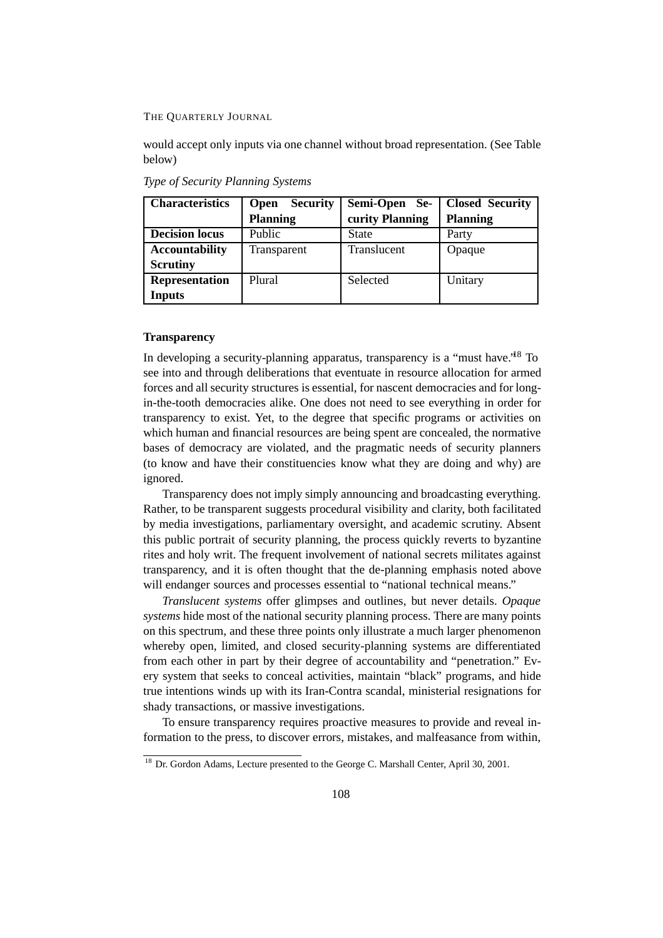would accept only inputs via one channel without broad representation. (See Table below)

| <b>Characteristics</b> | <b>Security</b><br><b>Open</b> | Semi-Open Se-   | <b>Closed Security</b> |
|------------------------|--------------------------------|-----------------|------------------------|
|                        | <b>Planning</b>                | curity Planning | <b>Planning</b>        |
| <b>Decision locus</b>  | Public                         | <b>State</b>    | Party                  |
| <b>Accountability</b>  | Transparent                    | Translucent     | Opaque                 |
| <b>Scrutiny</b>        |                                |                 |                        |
| <b>Representation</b>  | Plural                         | Selected        | Unitary                |
| Inputs                 |                                |                 |                        |

*Type of Security Planning Systems*

### **Transparency**

In developing a security-planning apparatus, transparency is a "must have.'<sup>18</sup> To see into and through deliberations that eventuate in resource allocation for armed forces and all security structures is essential, for nascent democracies and for longin-the-tooth democracies alike. One does not need to see everything in order for transparency to exist. Yet, to the degree that specific programs or activities on which human and financial resources are being spent are concealed, the normative bases of democracy are violated, and the pragmatic needs of security planners (to know and have their constituencies know what they are doing and why) are ignored.

Transparency does not imply simply announcing and broadcasting everything. Rather, to be transparent suggests procedural visibility and clarity, both facilitated by media investigations, parliamentary oversight, and academic scrutiny. Absent this public portrait of security planning, the process quickly reverts to byzantine rites and holy writ. The frequent involvement of national secrets militates against transparency, and it is often thought that the de-planning emphasis noted above will endanger sources and processes essential to "national technical means."

*Translucent systems* offer glimpses and outlines, but never details. *Opaque systems* hide most of the national security planning process. There are many points on this spectrum, and these three points only illustrate a much larger phenomenon whereby open, limited, and closed security-planning systems are differentiated from each other in part by their degree of accountability and "penetration." Every system that seeks to conceal activities, maintain "black" programs, and hide true intentions winds up with its Iran-Contra scandal, ministerial resignations for shady transactions, or massive investigations.

To ensure transparency requires proactive measures to provide and reveal information to the press, to discover errors, mistakes, and malfeasance from within,

<sup>&</sup>lt;sup>18</sup> Dr. Gordon Adams, Lecture presented to the George C. Marshall Center, April 30, 2001.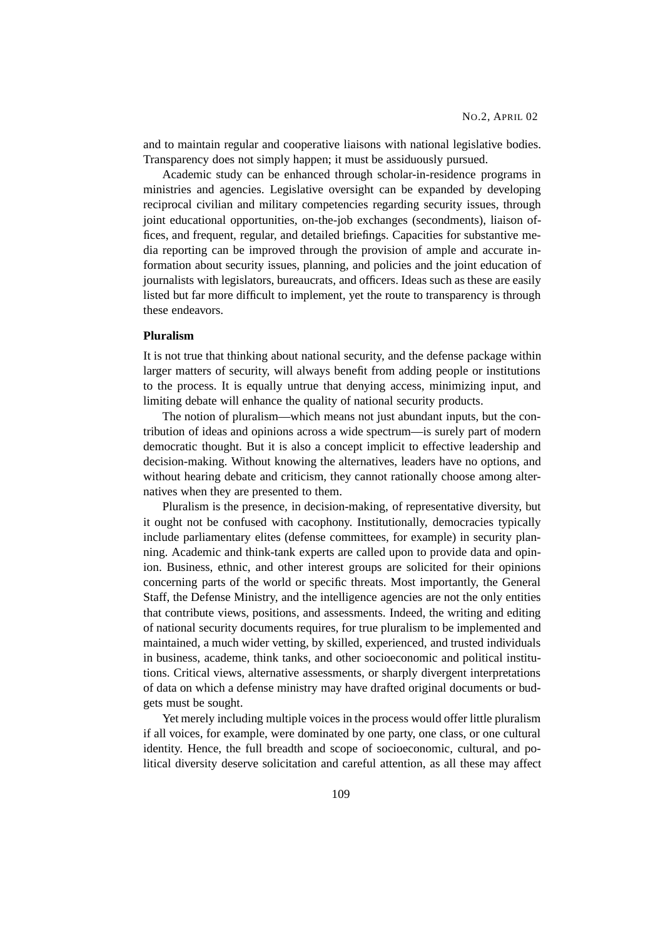and to maintain regular and cooperative liaisons with national legislative bodies. Transparency does not simply happen; it must be assiduously pursued.

Academic study can be enhanced through scholar-in-residence programs in ministries and agencies. Legislative oversight can be expanded by developing reciprocal civilian and military competencies regarding security issues, through joint educational opportunities, on-the-job exchanges (secondments), liaison offices, and frequent, regular, and detailed briefings. Capacities for substantive media reporting can be improved through the provision of ample and accurate information about security issues, planning, and policies and the joint education of journalists with legislators, bureaucrats, and officers. Ideas such as these are easily listed but far more difficult to implement, yet the route to transparency is through these endeavors.

## **Pluralism**

It is not true that thinking about national security, and the defense package within larger matters of security, will always benefit from adding people or institutions to the process. It is equally untrue that denying access, minimizing input, and limiting debate will enhance the quality of national security products.

The notion of pluralism—which means not just abundant inputs, but the contribution of ideas and opinions across a wide spectrum—is surely part of modern democratic thought. But it is also a concept implicit to effective leadership and decision-making. Without knowing the alternatives, leaders have no options, and without hearing debate and criticism, they cannot rationally choose among alternatives when they are presented to them.

Pluralism is the presence, in decision-making, of representative diversity, but it ought not be confused with cacophony. Institutionally, democracies typically include parliamentary elites (defense committees, for example) in security planning. Academic and think-tank experts are called upon to provide data and opinion. Business, ethnic, and other interest groups are solicited for their opinions concerning parts of the world or specific threats. Most importantly, the General Staff, the Defense Ministry, and the intelligence agencies are not the only entities that contribute views, positions, and assessments. Indeed, the writing and editing of national security documents requires, for true pluralism to be implemented and maintained, a much wider vetting, by skilled, experienced, and trusted individuals in business, academe, think tanks, and other socioeconomic and political institutions. Critical views, alternative assessments, or sharply divergent interpretations of data on which a defense ministry may have drafted original documents or budgets must be sought.

Yet merely including multiple voices in the process would offer little pluralism if all voices, for example, were dominated by one party, one class, or one cultural identity. Hence, the full breadth and scope of socioeconomic, cultural, and political diversity deserve solicitation and careful attention, as all these may affect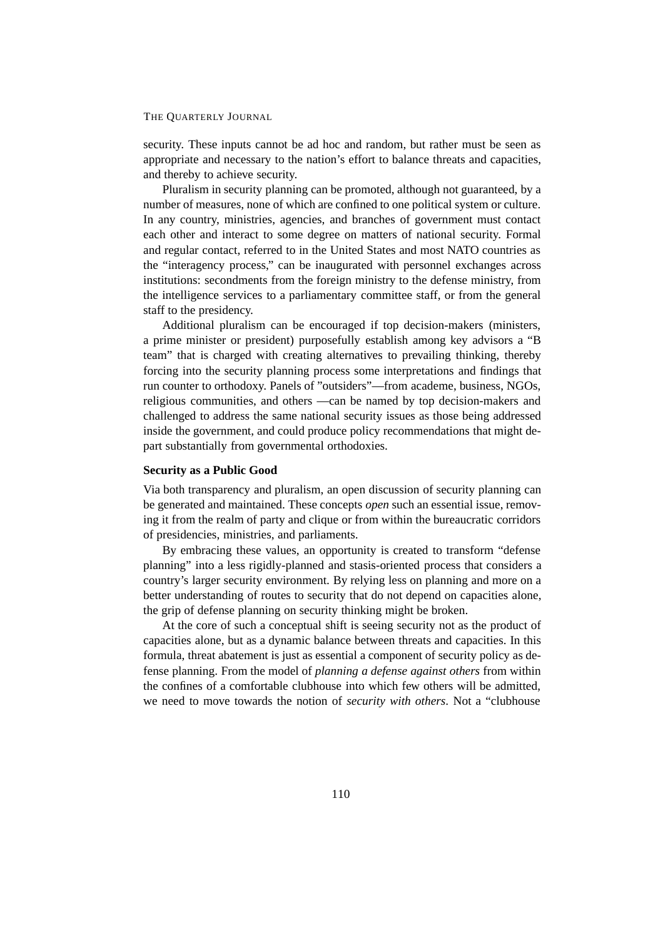security. These inputs cannot be ad hoc and random, but rather must be seen as appropriate and necessary to the nation's effort to balance threats and capacities, and thereby to achieve security.

Pluralism in security planning can be promoted, although not guaranteed, by a number of measures, none of which are confined to one political system or culture. In any country, ministries, agencies, and branches of government must contact each other and interact to some degree on matters of national security. Formal and regular contact, referred to in the United States and most NATO countries as the "interagency process," can be inaugurated with personnel exchanges across institutions: secondments from the foreign ministry to the defense ministry, from the intelligence services to a parliamentary committee staff, or from the general staff to the presidency.

Additional pluralism can be encouraged if top decision-makers (ministers, a prime minister or president) purposefully establish among key advisors a "B team" that is charged with creating alternatives to prevailing thinking, thereby forcing into the security planning process some interpretations and findings that run counter to orthodoxy. Panels of "outsiders"—from academe, business, NGOs, religious communities, and others —can be named by top decision-makers and challenged to address the same national security issues as those being addressed inside the government, and could produce policy recommendations that might depart substantially from governmental orthodoxies.

#### **Security as a Public Good**

Via both transparency and pluralism, an open discussion of security planning can be generated and maintained. These concepts *open* such an essential issue, removing it from the realm of party and clique or from within the bureaucratic corridors of presidencies, ministries, and parliaments.

By embracing these values, an opportunity is created to transform "defense planning" into a less rigidly-planned and stasis-oriented process that considers a country's larger security environment. By relying less on planning and more on a better understanding of routes to security that do not depend on capacities alone, the grip of defense planning on security thinking might be broken.

At the core of such a conceptual shift is seeing security not as the product of capacities alone, but as a dynamic balance between threats and capacities. In this formula, threat abatement is just as essential a component of security policy as defense planning. From the model of *planning a defense against others* from within the confines of a comfortable clubhouse into which few others will be admitted, we need to move towards the notion of *security with others*. Not a "clubhouse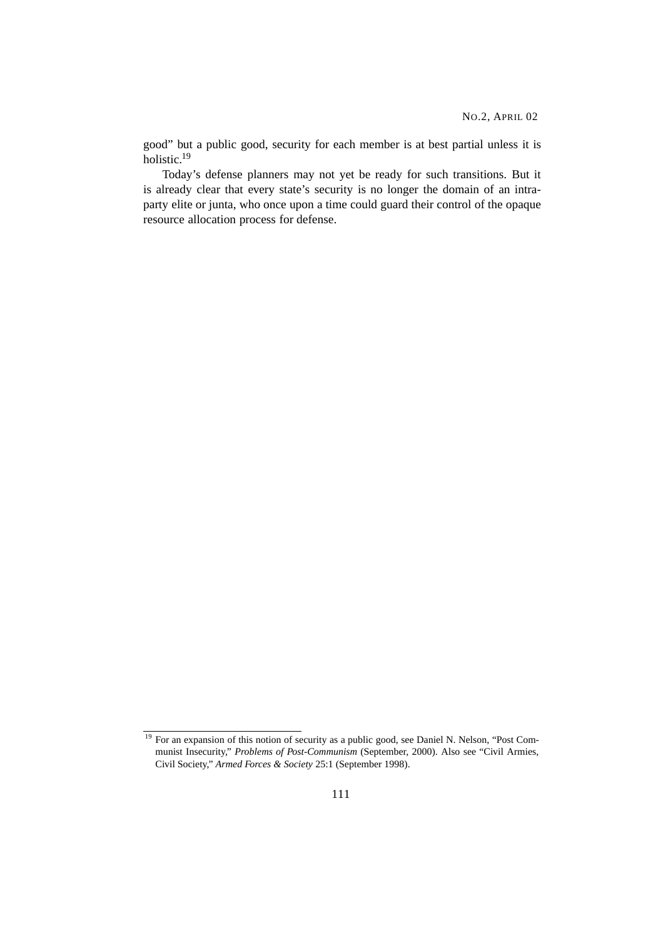good" but a public good, security for each member is at best partial unless it is holistic.19

Today's defense planners may not yet be ready for such transitions. But it is already clear that every state's security is no longer the domain of an intraparty elite or junta, who once upon a time could guard their control of the opaque resource allocation process for defense.

<sup>&</sup>lt;sup>19</sup> For an expansion of this notion of security as a public good, see Daniel N. Nelson, "Post Communist Insecurity," *Problems of Post-Communism* (September, 2000). Also see "Civil Armies, Civil Society," *Armed Forces & Society* 25:1 (September 1998).